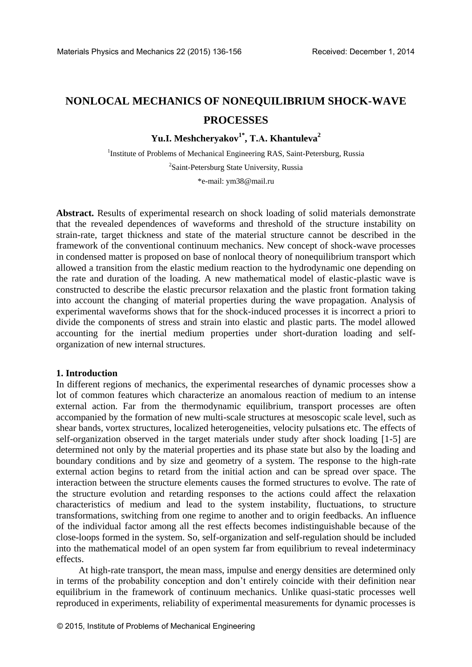# **NONLOCAL MECHANICS OF NONEQUILIBRIUM SHOCK-WAVE PROCESSES**

**Yu.I. Meshcheryakov1\* , Т.А. Khantuleva<sup>2</sup>**

<sup>1</sup>Institute of Problems of Mechanical Engineering RAS, Saint-Petersburg, Russia <sup>2</sup>Saint-Petersburg State University, Russia

\*e-mail: ym38@mail.ru

**Abstract.** Results of experimental research on shock loading of solid materials demonstrate that the revealed dependences of waveforms and threshold of the structure instability on strain-rate, target thickness and state of the material structure cannot be described in the framework of the conventional continuum mechanics. New concept of shock-wave processes in condensed matter is proposed on base of nonlocal theory of nonequilibrium transport which allowed a transition from the elastic medium reaction to the hydrodynamic one depending on the rate and duration of the loading. A new mathematical model of elastic-plastic wave is constructed to describe the elastic precursor relaxation and the plastic front formation taking into account the changing оf material properties during the wave propagation. Analysis of experimental waveforms shows that for the shock-induced processes it is incorrect a priori to divide the components of stress and strain into elastic and plastic parts. The model allowed accounting for the inertial medium properties under short-duration loading and selforganization of new internal structures.

## **1. Introduction**

In different regions of mechanics, the experimental researches of dynamic processes show a lot of common features which characterize an anomalous reaction of medium to an intense external action. Far from the thermodynamic equilibrium, transport processes are often accompanied by the formation of new multi-scale structures at mesoscopic scale level, such as shear bands, vortex structures, localized heterogeneities, velocity pulsations etc. The effects of self-organization observed in the target materials under study after shock loading [1-5] are determined not only by the material properties and its phase state but also by the loading and boundary conditions and by size and geometry of a system. The response to the high-rate external action begins to retard from the initial action and can be spread over space. The interaction between the structure elements causes the formed structures to evolve. The rate of the structure evolution and retarding responses to the actions could affect the relaxation characteristics of medium and lead to the system instability, fluctuations, to structure transformations, switching from one regime to another and to origin feedbacks. An influence of the individual factor among all the rest effects becomes indistinguishable because of the close-loops formed in the system. So, self-organization and self-regulation should be included into the mathematical model of an open system far from equilibrium to reveal indeterminacy effects.

At high-rate transport, the mean mass, impulse and energy densities are determined only in terms of the probability conception and don't entirely coincide with their definition near equilibrium in the framework of continuum mechanics. Unlike quasi-static processes well reproduced in experiments, reliability of experimental measurements for dynamic processes is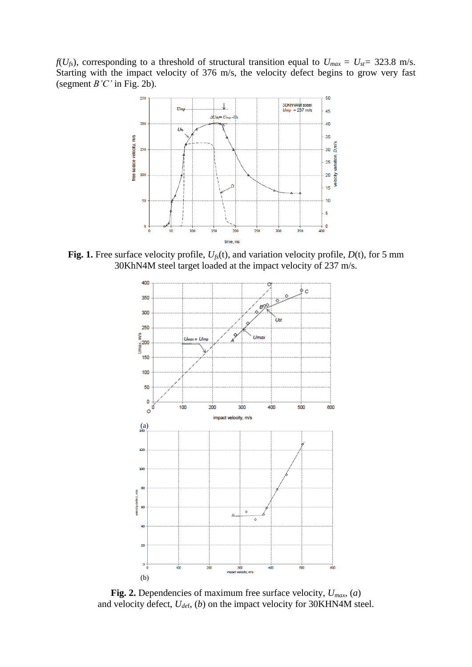*f*( $U_{fs}$ ), corresponding to a threshold of structural transition equal to  $U_{max} = U_{st} = 323.8$  m/s. Starting with the impact velocity of 376 m/s, the velocity defect begins to grow very fast (segment *B'C'* in Fig. 2b).



**Fig. 1.** Free surface velocity profile,  $U_f(t)$ , and variation velocity profile,  $D(t)$ , for 5 mm 30KhN4M steel target loaded at the impact velocity of 237 m/s.



**Fig. 2.** Dependencies of maximum free surface velocity, *Umax*, (*a*) and velocity defect, *Ude*f, (*b*) on the impact velocity for 30KHN4M steel.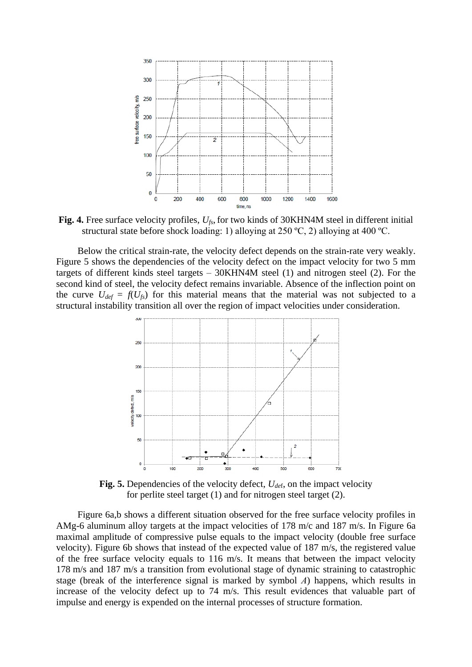

**Fig. 4.** Free surface velocity profiles,  $U_{fs}$ , for two kinds of 30KHN4M steel in different initial structural state before shock loading: 1) alloying at 250 ºC, 2) alloying at 400 ºC.

Below the critical strain-rate, the velocity defect depends on the strain-rate very weakly. Figure 5 shows the dependencies of the velocity defect on the impact velocity for two 5 mm targets of different kinds steel targets – 30KHN4M steel (1) and nitrogen steel (2). For the second kind of steel, the velocity defect remains invariable. Absence of the inflection point on the curve  $U_{def} = f(U_{fs})$  for this material means that the material was not subjected to a structural instability transition all over the region of impact velocities under consideration.



**Fig. 5.** Dependencies of the velocity defect, *Ude*f, on the impact velocity for perlite steel target (1) and for nitrogen steel target (2).

Figure 6a,b shows a different situation observed for the free surface velocity profiles in AMg-6 aluminum alloy targets at the impact velocities of 178 m/c and 187 m/s. In Figure 6a maximal amplitude of compressive pulse equals to the impact velocity (double free surface velocity). Figure 6b shows that instead of the expected value of 187 m/s, the registered value of the free surface velocity equals to 116 m/s. It means that between the impact velocity 178 m/s and 187 m/s a transition from evolutional stage of dynamic straining to catastrophic stage (break of the interference signal is marked by symbol *А*) happens, which results in increase of the velocity defect up to 74 m/s. This result evidences that valuable part of impulse and energy is expended on the internal processes of structure formation.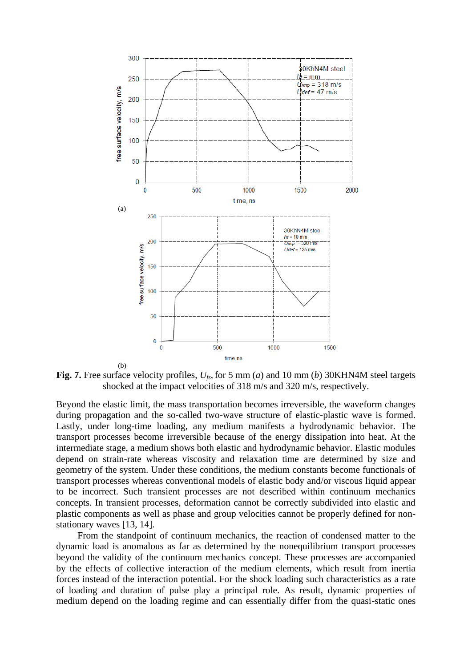

**Fig. 7.** Free surface velocity profiles,  $U_{fs}$ , for 5 mm (*a*) and 10 mm (*b*) 30KHN4M steel targets shocked at the impact velocities of 318 m/s and 320 m/s, respectively.

Beyond the elastic limit, the mass transportation becomes irreversible, the waveform changes during propagation and the so-called two-wave structure of elastic-plastic wave is formed. Lastly, under long-time loading, any medium manifests a hydrodynamic behavior. The transport processes become irreversible because of the energy dissipation into heat. At the intermediate stage, a medium shows both elastic and hydrodynamic behavior. Elastic modules depend on strain-rate whereas viscosity and relaxation time are determined by size and geometry of the system. Under these conditions, the medium constants become functionals of transport processes whereas conventional models of elastic body and/or viscous liquid appear to be incorrect. Such transient processes are not described within continuum mechanics concepts. In transient processes, deformation cannot be correctly subdivided into elastic and plastic components as well as phase and group velocities cannot be properly defined for nonstationary waves [13, 14].

From the standpoint of continuum mechanics, the reaction of condensed matter to the dynamic load is anomalous as far as determined by the nonequilibrium transport processes beyond the validity of the continuum mechanics concept. These processes are accompanied by the effects of collective interaction of the medium elements, which result from inertia forces instead of the interaction potential. For the shock loading such characteristics as a rate of loading and duration of pulse play a principal role. As result, dynamic properties of medium depend on the loading regime and can essentially differ from the quasi-static ones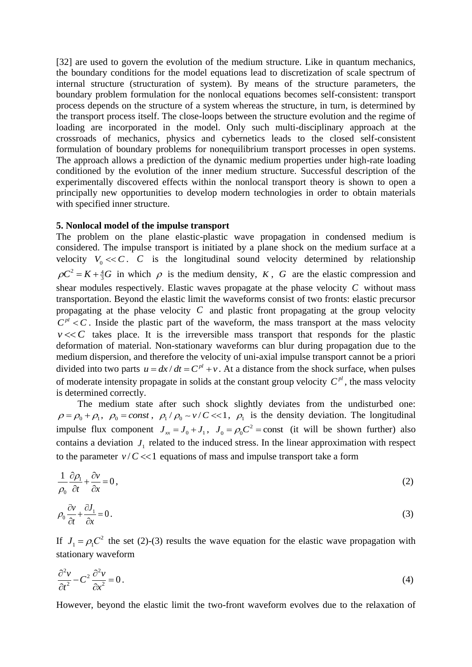[32] are used to govern the evolution of the medium structure. Like in quantum mechanics, the boundary conditions for the model equations lead to discretization of scale spectrum of internal structure (structuration of system). By means of the structure parameters, the boundary problem formulation for the nonlocal equations becomes self-consistent: transport process depends on the structure of a system whereas the structure, in turn, is determined by the transport process itself. The close-loops between the structure evolution and the regime of loading are incorporated in the model. Only such multi-disciplinary approach at the crossroads of mechanics, physics and cybernetics leads to the closed self-consistent formulation of boundary problems for nonequilibrium transport processes in open systems. The approach allows a prediction of the dynamic medium properties under high-rate loading conditioned by the evolution of the inner medium structure. Successful description of the experimentally discovered effects within the nonlocal transport theory is shown to open a principally new opportunities to develop modern technologies in order to obtain materials with specified inner structure.

## **5. Nonlocal model of the impulse transport**

The problem on the plane elastic-plastic wave propagation in condensed medium is considered. The impulse transport is initiated by a plane shock on the medium surface at a velocity  $V_0 \ll C$ . *C* is the longitudinal sound velocity determined by relationship  $\rho C^2 = K + \frac{4}{3}G$  in which  $\rho$  is the medium density, *K*, *G* are the elastic compression and shear modules respectively. Elastic waves propagate at the phase velocity  $C$  without mass transportation. Beyond the elastic limit the waveforms consist of two fronts: elastic precursor propagating at the phase velocity *C* and plastic front propagating at the group velocity  $C<sup>pl</sup> < C$ . Inside the plastic part of the waveform, the mass transport at the mass velocity  $v \ll C$  takes place. It is the irreversible mass transport that responds for the plastic deformation of material. Non-stationary waveforms can blur during propagation due to the medium dispersion, and therefore the velocity of uni-axial impulse transport cannot be a priori divided into two parts  $u = dx/dt = C^{pl} + v$ . At a distance from the shock surface, when pulses of moderate intensity propagate in solids at the constant group velocity  $C^{pl}$ , the mass velocity is determined correctly.

The medium state after such shock slightly deviates from the undisturbed one:  $\rho = \rho_0 + \rho_1$ ,  $\rho_0 = const$ ,  $\rho_1 / \rho_0 \sim v/C \ll 1$ ,  $\rho_1$  is the density deviation. The longitudinal impulse flux component  $J_{xx} = J_0 + J_1$ ,  $J_0 = \rho_0 C^2$  = const (it will be shown further) also contains a deviation  $J_1$  related to the induced stress. In the linear approximation with respect to the parameter  $v/C \ll 1$  equations of mass and impulse transport take a form

$$
\frac{1}{\rho_0} \frac{\partial \rho_1}{\partial t} + \frac{\partial v}{\partial x} = 0,
$$
\n(2)

$$
\rho_0 \frac{\partial v}{\partial t} + \frac{\partial J_1}{\partial x} = 0. \tag{3}
$$

If  $J_1 = \rho_1 C^2$  the set (2)-(3) results the wave equation for the elastic wave propagation with stationary waveform

$$
\frac{\partial^2 v}{\partial t^2} - C^2 \frac{\partial^2 v}{\partial x^2} = 0.
$$
\n(4)

However, beyond the elastic limit the two-front waveform evolves due to the relaxation of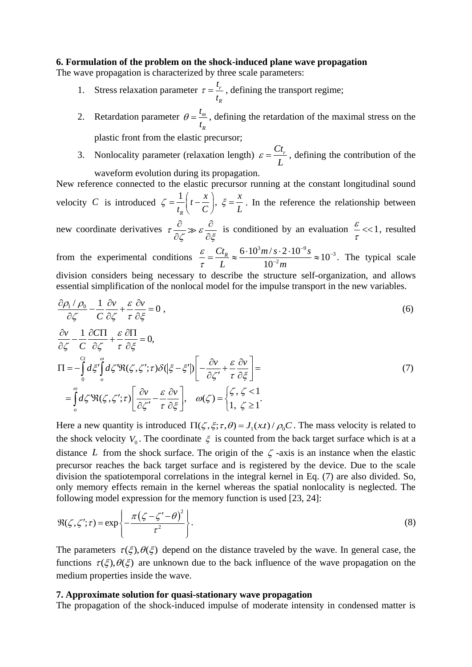## **6. Formulation of the problem on the shock-induced plane wave propagation**

The wave propagation is characterized by three scale parameters:

- 1. Stress relaxation parameter  $\tau = \frac{r}{r}$ *R t t*  $\tau = \frac{V_r}{V}$ , defining the transport regime;
- 2. Retardation parameter  $\theta = \frac{t_m}{m}$ *R t*  $\theta = \frac{k_m}{m}$ , defining the retardation of the maximal stress on the plastic front from the elastic precursor;
- 3. Nonlocality parameter (relaxation length)  $\varepsilon = \frac{Ct}{r}$ *L*  $\varepsilon = \frac{C t_r}{r}$ , defining the contribution of the waveform evolution during its propagation.

New reference connected to the elastic precursor running at the constant longitudinal sound velocity C is introduced  $\zeta = \frac{1}{t} \left( t - \frac{x}{\zeta} \right)$ , *R*  $\frac{1}{t_R} \left( t - \frac{x}{C} \right), \xi = \frac{x}{L}$  $\zeta = \frac{1}{t_R} \left( t - \frac{x}{C} \right)$ ,  $\zeta = \frac{x}{L}$ . In the reference the relationship between new coordinate derivatives  $\tau \frac{\nu}{\sqrt{2}} \gg \varepsilon$  $\partial \zeta$   $\partial \zeta$  $\partial$   $\partial$  $\partial \zeta$   $\stackrel{\sim}{\sim}$   $\partial \xi$ is conditioned by an evaluation  $\frac{\varepsilon}{\varepsilon}$  <<1  $\frac{\epsilon}{\tau}$  << 1, resulted  $\frac{3m}{s} \cdot 2 \cdot 10^{-9} s$  $\frac{6 \cdot 10^3 m/s \cdot 2 \cdot 10^{-9} s}{10^{-2} m} \approx 10$  $\frac{Ct_R}{m} \approx \frac{6 \cdot 10^3 m / s \cdot 2 \cdot 10^{-9} s^2}{m}$  $\sigma \xi$   $\tau$ <br>=  $\frac{Ct_R}{I} \approx \frac{6 \cdot 10^3 m / s \cdot 2 \cdot 10^{-9} s}{10^{-2} m} \approx 10^{-3}$ . The typical scale

from the experimental conditions 10  $\frac{\varepsilon}{\tau} = \frac{Ct_R}{L} \approx \frac{6 \cdot 10^5 m / s \cdot 2}{10^{-2} m}$ τ  $\frac{-9}{s}$ s ~10<sup>-</sup> division considers being necessary to describe the structure self-organization, and allows essential simplification of the nonlocal model for the impulse transport in the new variables.

$$
\frac{\partial \rho_1 / \rho_0}{\partial \zeta} - \frac{1}{C} \frac{\partial v}{\partial \zeta} + \frac{\varepsilon}{\tau} \frac{\partial v}{\partial \zeta} = 0,
$$
\n
$$
\frac{\partial v}{\partial \zeta} - \frac{1}{C} \frac{\partial C\Pi}{\partial \zeta} + \frac{\varepsilon}{\tau} \frac{\partial \Pi}{\partial \zeta} = 0,
$$
\n
$$
\Pi = -\int_0^{C_t} d\xi' \int_0^{\omega} d\zeta' \Re(\zeta, \zeta'; \tau) \delta(|\zeta - \zeta'|) \left[ -\frac{\partial v}{\partial \zeta'} + \frac{\varepsilon}{\tau} \frac{\partial v}{\partial \zeta} \right] =
$$
\n
$$
= \int_0^{\omega} d\zeta' \Re(\zeta, \zeta'; \tau) \left[ \frac{\partial v}{\partial \zeta'} - \frac{\varepsilon}{\tau} \frac{\partial v}{\partial \zeta} \right], \quad \omega(\zeta) = \begin{cases} \zeta, \zeta < 1 \\ 1, \zeta \ge 1 \end{cases} \tag{7}
$$

Here a new quantity is introduced  $\Pi(\zeta, \xi; \tau, \theta) = J_1(x, t) / \rho_0 C$ . The mass velocity is related to the shock velocity  $V_0$ . The coordinate  $\xi$  is counted from the back target surface which is at a distance L from the shock surface. The origin of the  $\zeta$ -axis is an instance when the elastic precursor reaches the back target surface and is registered by the device. Due to the scale division the spatiotemporal correlations in the integral kernel in Eq. (7) are also divided. So, only memory effects remain in the kernel whereas the spatial nonlocality is neglected. The

following model expression for the memory function is used [23, 24]:  
\n
$$
\Re(\zeta, \zeta'; \tau) = \exp\left\{-\frac{\pi(\zeta - \zeta' - \theta)^2}{\tau^2}\right\}.
$$
\n(8)

The parameters  $\tau(\xi), \theta(\xi)$  depend on the distance traveled by the wave. In general case, the functions  $\tau(\xi), \theta(\xi)$  are unknown due to the back influence of the wave propagation on the medium properties inside the wave.

## **7. Approximate solution for quasi-stationary wave propagation**

The propagation of the shock-induced impulse of moderate intensity in condensed matter is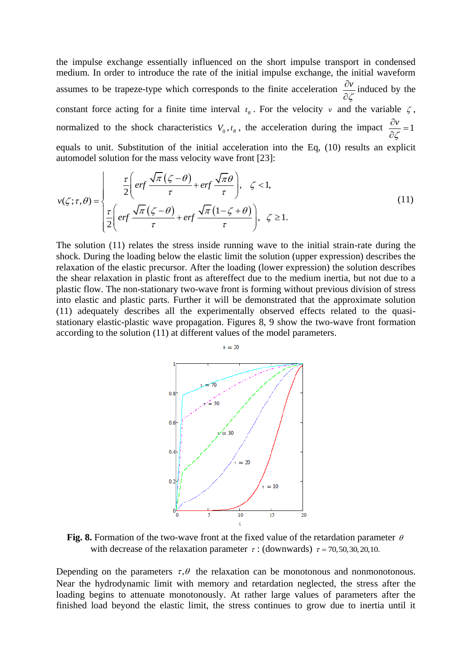the impulse exchange essentially influenced on the short impulse transport in condensed medium. In order to introduce the rate of the initial impulse exchange, the initial waveform assumes to be trapeze-type which corresponds to the finite acceleration  $\frac{\partial v}{\partial x}$ گی(  $\partial$  $\partial$ induced by the constant force acting for a finite time interval  $t_R$ . For the velocity v and the variable  $\zeta$ , normalized to the shock characteristics  $V_0, t_R$ , the acceleration during the impact  $\frac{\partial v}{\partial \zeta} = 1$ سح  $\frac{\partial v}{\partial x} =$  $\hat{o}$ equals to unit. Substitution of the initial acceleration into the Eq, (10) results an explicit<br>automodel solution for the mass velocity wave front [23]:<br> $\frac{\tau}{2} \left( erf \frac{\sqrt{\pi} (\zeta - \theta)}{\tau} + erf \frac{\sqrt{\pi} \theta}{\tau} \right), \zeta < 1,$ 

equas to unit. Substitution of the initial acceleration into the Eq. (10) results an explicit  
\nautomodel solution for the mass velocity wave front [23]:  
\n
$$
v(\zeta;\tau,\theta) = \begin{cases}\n\frac{\tau}{2} \left( erf \frac{\sqrt{\pi}(\zeta-\theta)}{\tau} + erf \frac{\sqrt{\pi}\theta}{\tau} \right), & \zeta < 1, \\
\frac{\tau}{2} \left( erf \frac{\sqrt{\pi}(\zeta-\theta)}{\tau} + erf \frac{\sqrt{\pi}(1-\zeta+\theta)}{\tau} \right), & \zeta \ge 1.\n\end{cases}
$$
\n(11)

The solution (11) relates the stress inside running wave to the initial strain-rate during the shock. During the loading below the elastic limit the solution (upper expression) describes the relaxation of the elastic precursor. After the loading (lower expression) the solution describes the shear relaxation in plastic front as aftereffect due to the medium inertia, but not due to a plastic flow. The non-stationary two-wave front is forming without previous division of stress into elastic and plastic parts. Further it will be demonstrated that the approximate solution (11) adequately describes all the experimentally observed effects related to the quasistationary elastic-plastic wave propagation. Figures 8, 9 show the two-wave front formation according to the solution (11) at different values of the model parameters.



Fig. 8. Formation of the two-wave front at the fixed value of the retardation parameter  $\theta$ with decrease of the relaxation parameter  $\tau$ : (downwards)  $\tau$  = 70,50,30,20,10.

Depending on the parameters  $\tau$ ,  $\theta$  the relaxation can be monotonous and nonmonotonous. Near the hydrodynamic limit with memory and retardation neglected, the stress after the loading begins to attenuate monotonously. At rather large values of parameters after the finished load beyond the elastic limit, the stress continues to grow due to inertia until it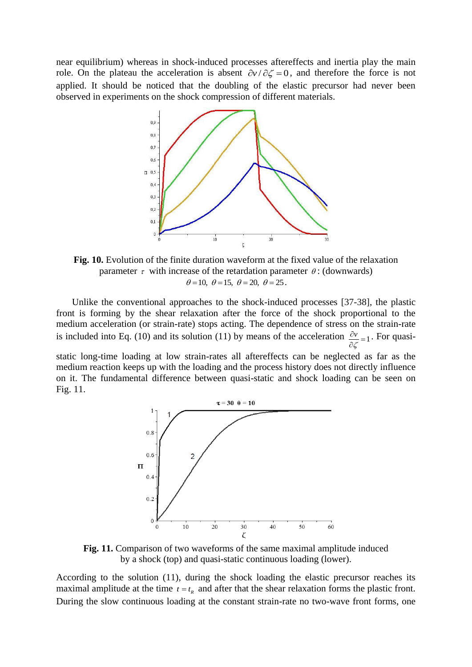near equilibrium) whereas in shock-induced processes aftereffects and inertia play the main role. On the plateau the acceleration is absent  $\partial v / \partial \zeta = 0$ , and therefore the force is not applied. It should be noticed that the doubling of the elastic precursor had never been observed in experiments on the shock compression of different materials.



**Fig. 10.** Evolution of the finite duration waveform at the fixed value of the relaxation parameter  $\tau$  with increase of the retardation parameter  $\theta$ : (downwards)  $\theta = 10$ ,  $\theta = 15$ ,  $\theta = 20$ ,  $\theta = 25$ .

Unlike the conventional approaches to the shock-induced processes [37-38], the plastic front is forming by the shear relaxation after the force of the shock proportional to the medium acceleration (or strain-rate) stops acting. The dependence of stress on the strain-rate is included into Eq. (10) and its solution (11) by means of the acceleration  $\frac{\partial v}{\partial x} = 1$ ىم  $\frac{\partial v}{\partial \zeta} =$ . For quasi-

static long-time loading at low strain-rates all aftereffects can be neglected as far as the medium reaction keeps up with the loading and the process history does not directly influence on it. The fundamental difference between quasi-static and shock loading can be seen on Fig. 11.



**Fig. 11.** Comparison of two waveforms of the same maximal amplitude induced by a shock (top) and quasi-static continuous loading (lower).

According to the solution (11), during the shock loading the elastic precursor reaches its maximal amplitude at the time  $t = t_R$  and after that the shear relaxation forms the plastic front. During the slow continuous loading at the constant strain-rate no two-wave front forms, one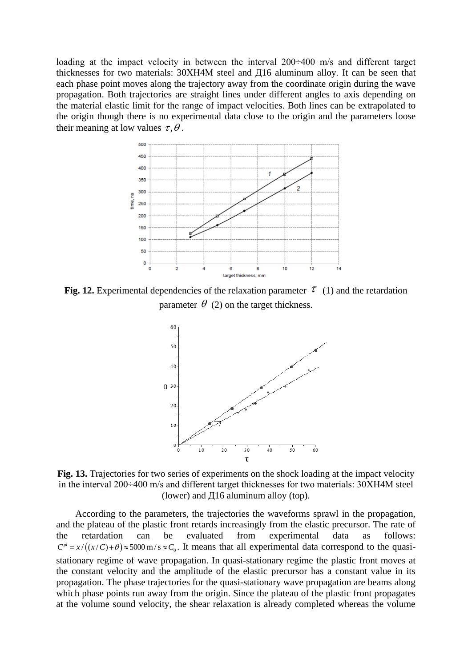loading at the impact velocity in between the interval 200÷400 m/s and different target thicknesses for two materials: 30ХН4М steel and Д16 aluminum alloy. It can be seen that each phase point moves along the trajectory away from the coordinate origin during the wave propagation. Both trajectories are straight lines under different angles to axis depending on the material elastic limit for the range of impact velocities. Both lines can be extrapolated to the origin though there is no experimental data close to the origin and the parameters loose their meaning at low values  $\tau, \theta$ .



Fig. 12. Experimental dependencies of the relaxation parameter  $\tau$  (1) and the retardation parameter  $\theta$  (2) on the target thickness.



**Fig. 13.** Trajectories for two series of experiments on the shock loading at the impact velocity in the interval 200÷400 m/s and different target thicknesses for two materials: 30ХН4М steel (lower) and  $\pi$ 16 aluminum alloy (top).

According to the parameters, the trajectories the waveforms sprawl in the propagation, and the plateau of the plastic front retards increasingly from the elastic precursor. The rate of the retardation can be evaluated from experimental data as follows: the retardation can be evaluated from experimental data as follows:<br> $C<sup>pl</sup> = x/((x/C)+\theta) \approx 5000 \text{ m/s} \approx C_0$ . It means that all experimental data correspond to the quasistationary regime of wave propagation. In quasi-stationary regime the plastic front moves at the constant velocity and the amplitude of the elastic precursor has a constant value in its propagation. The phase trajectories for the quasi-stationary wave propagation are beams along which phase points run away from the origin. Since the plateau of the plastic front propagates at the volume sound velocity, the shear relaxation is already completed whereas the volume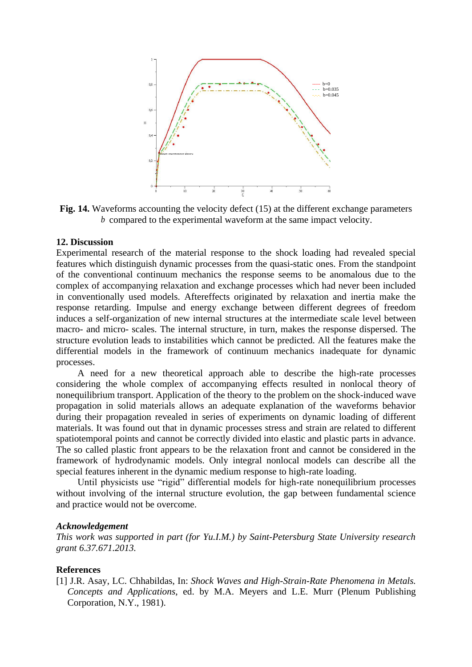

**Fig. 14.** Waveforms accounting the velocity defect (15) at the different exchange parameters *b* compared to the experimental waveform at the same impact velocity.

## **12. Discussion**

Experimental research of the material response to the shock loading had revealed special features which distinguish dynamic processes from the quasi-static ones. From the standpoint of the conventional continuum mechanics the response seems to be anomalous due to the complex of accompanying relaxation and exchange processes which had never been included in conventionally used models. Aftereffects originated by relaxation and inertia make the response retarding. Impulse and energy exchange between different degrees of freedom induces a self-organization of new internal structures at the intermediate scale level between macro- and micro- scales. The internal structure, in turn, makes the response dispersed. The structure evolution leads to instabilities which cannot be predicted. All the features make the differential models in the framework of continuum mechanics inadequate for dynamic processes.

A need for a new theoretical approach able to describe the high-rate processes considering the whole complex of accompanying effects resulted in nonlocal theory of nonequilibrium transport. Application of the theory to the problem on the shock-induced wave propagation in solid materials allows an adequate explanation of the waveforms behavior during their propagation revealed in series of experiments on dynamic loading of different materials. It was found out that in dynamic processes stress and strain are related to different spatiotemporal points and cannot be correctly divided into elastic and plastic parts in advance. The so called plastic front appears to be the relaxation front and cannot be considered in the framework of hydrodynamic models. Only integral nonlocal models can describe all the special features inherent in the dynamic medium response to high-rate loading.

Until physicists use "rigid" differential models for high-rate nonequilibrium processes without involving of the internal structure evolution, the gap between fundamental science and practice would not be overcome.

#### *Acknowledgement*

*This work was supported in part (for Yu.I.M.) by Saint-Petersburg State University research grant 6.37.671.2013.*

## **References**

[1] J.R. Asay, LC. Chhabildas, In: *Shock Waves and High-Strain-Rate Phenomena in Metals. Concepts and Applications*, ed. by M.A. Meyers and L.E. Murr (Plenum Publishing Corporation, N.Y., 1981).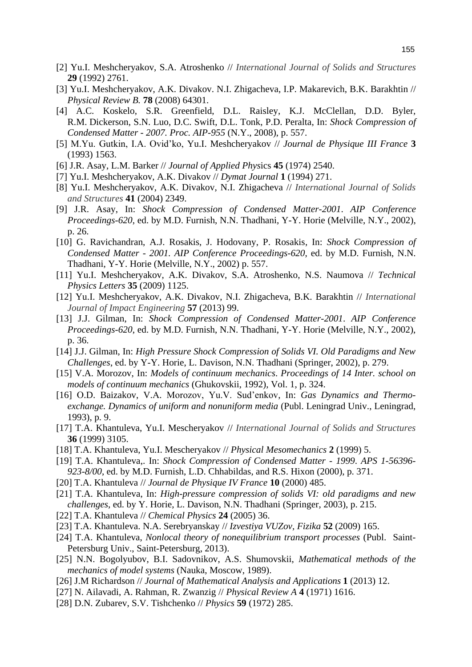- [2] Yu.I. Meshcheryakov, S.A. Atroshenko // *International Journal of Solids and Structures* **29** (1992) 2761.
- [3] Yu.I. Meshcheryakov, A.K. Divakov. N.I. Zhigacheva, I.P. Makarevich, B.K. Barakhtin // *Physical Review B.* **78** (2008) 64301.
- [4] A.C. Koskelo, S.R. Greenfield, D.L. Raisley, K.J. McClellan, D.D. Byler, R.M. Dickerson, S.N. Luo, D.C. Swift, D.L. Tonk, P.D. Peralta, In: *Shock Compression of Condensed Matter - 2007. Proc. AIP-955* (N.Y., 2008), p. 557.
- [5] M.Yu. Gutkin, I.A. Ovid'ko, Yu.I. Meshcheryakov // *Journal de Physique III France* **3**  (1993) 1563.
- [6] J.R. Asay, L.M. Barker // *Journal of Applied Phys*ics **45** (1974) 2540.
- [7] Yu.I. Meshcheryakov, A.K. Divakov // *Dymat Journal* **1** (1994) 271.
- [8] Yu.I. Meshcheryakov, A.K. Divakov, N.I. Zhigacheva // *International Journal of Solids and Structures* **41** (2004) 2349.
- [9] J.R. Asay, In: *Shock Compression of Condensed Matter-2001*. *AIP Conference Proceedings-620*, ed. by M.D. Furnish, N.N. Thadhani, Y-Y. Horie (Melville, N.Y., 2002), p. 26.
- [10] G. Ravichandran, A.J. Rosakis, J. Hodovany, P. Rosakis, In: *Shock Compression of Condensed Matter - 2001. AIP Conference Proceedings-620*, ed. by M.D. Furnish, N.N. Thadhani, Y-Y. Horie (Melville, N.Y., 2002) p. 557.
- [11] Yu.I. Meshcheryakov, A.K. Divakov, S.A. Atroshenko, N.S. Naumova // *Technical Physics Letters* **35** (2009) 1125.
- [12] Yu.I. Meshcheryakov, A.K. Divakov, N.I. Zhigacheva, B.K. Barakhtin // *International Journal of Impact Engineering* **57** (2013) 99.
- [13] J.J. Gilman, In: *Shock Compression of Condensed Matter-2001*. *AIP Conference Proceedings-620*, ed. by M.D. Furnish, N.N. Thadhani, Y-Y. Horie (Melville, N.Y., 2002), p. 36.
- [14] J.J. Gilman, In: *High Pressure Shock Compression of Solids VI. Old Paradigms and New Challenges*, ed. by Y-Y. Horie, L. Davison, N.N. Thadhani (Springer, 2002), p. 279.
- [15] V.A. Morozov, In: *Models of continuum mechanics*. *Proceedings of 14 Inter. school on models of continuum mechanics* (Ghukovskii, 1992), Vol. 1, p. 324.
- [16] O.D. Baizakov, V.A. Morozov, Yu.V. Sud'enkov, In: *Gas Dynamics and Thermoexchange. Dynamics of uniform and nonuniform media* (Publ. Leningrad Univ., Leningrad, 1993), p. 9.
- [17] T.A. Khantuleva, Yu.I. Mescheryakov // *International Journal of Solids and Structures* **36** (1999) 3105.
- [18] T.A. Khantuleva, Yu.I. Mescheryakov // *Physical Mesomechanics* **2** (1999) 5.
- [19] T.A. Khantuleva,. In: *Shock Compression of Condensed Matter 1999*. *APS 1-56396- 923-8/00*, ed. by M.D. Furnish, L.D. Chhabildas, and R.S. Hixon (2000), p. 371.
- [20] T.A. Khantuleva // *Journal de Physique IV France* **10** (2000) 485.
- [21] T.A. Khantuleva, In: *High-pressure compression of solids VI: old paradigms and new challenges*, ed. by Y. Horie, L. Davison, N.N. Thadhani (Springer, 2003), p. 215.
- [22] T.A. Khantuleva // *Chemical Physics* **24** (2005) 36.
- [23] T.A. Khantuleva. N.A. Serebryanskay // *Izvestiya VUZov, Fizika* **52** (2009) 165.
- [24] T.A. Khantuleva, *Nonlocal theory of nonequilibrium transport processes* (Publ. Saint-Petersburg Univ., Saint-Petersburg, 2013).
- [25] N.N. Bogolyubov, B.I. Sadovnikov, A.S. Shumovskii, *Mathematical methods of the mechanics of model systems* (Nauka, Moscow, 1989).
- [26] J.M Richardson // *Journal of Mathematical Analysis and Applications* **1** (2013) 12.
- [27] N. Ailavadi, A. Rahman, R. Zwanzig // *Physical Review A* **4** (1971) 1616.
- [28] D.N. Zubarev, S.V. Tishchenko // *Physics* **59** (1972) 285.